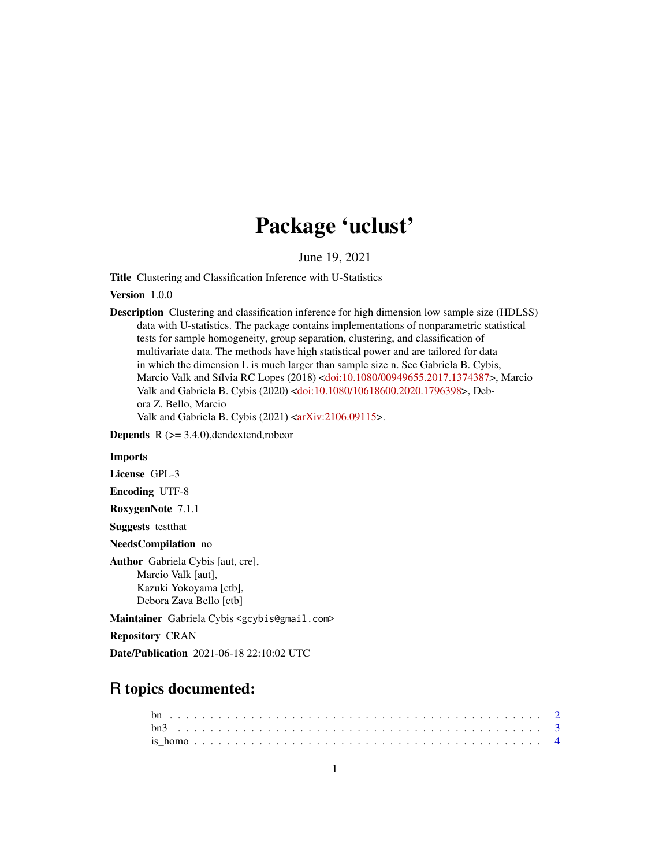# Package 'uclust'

June 19, 2021

Title Clustering and Classification Inference with U-Statistics

Version 1.0.0

Description Clustering and classification inference for high dimension low sample size (HDLSS) data with U-statistics. The package contains implementations of nonparametric statistical tests for sample homogeneity, group separation, clustering, and classification of multivariate data. The methods have high statistical power and are tailored for data in which the dimension L is much larger than sample size n. See Gabriela B. Cybis, Marcio Valk and Sílvia RC Lopes (2018) [<doi:10.1080/00949655.2017.1374387>](https://doi.org/10.1080/00949655.2017.1374387), Marcio Valk and Gabriela B. Cybis (2020) [<doi:10.1080/10618600.2020.1796398>](https://doi.org/10.1080/10618600.2020.1796398), Debora Z. Bello, Marcio Valk and Gabriela B. Cybis (2021) [<arXiv:2106.09115>](https://arxiv.org/abs/2106.09115).

**Depends**  $R$  ( $>= 3.4.0$ ),dendextend,robcor

#### Imports

License GPL-3

Encoding UTF-8

RoxygenNote 7.1.1

Suggests testthat

NeedsCompilation no

Author Gabriela Cybis [aut, cre], Marcio Valk [aut], Kazuki Yokoyama [ctb], Debora Zava Bello [ctb]

Maintainer Gabriela Cybis <gcybis@gmail.com>

Repository CRAN

Date/Publication 2021-06-18 22:10:02 UTC

# R topics documented: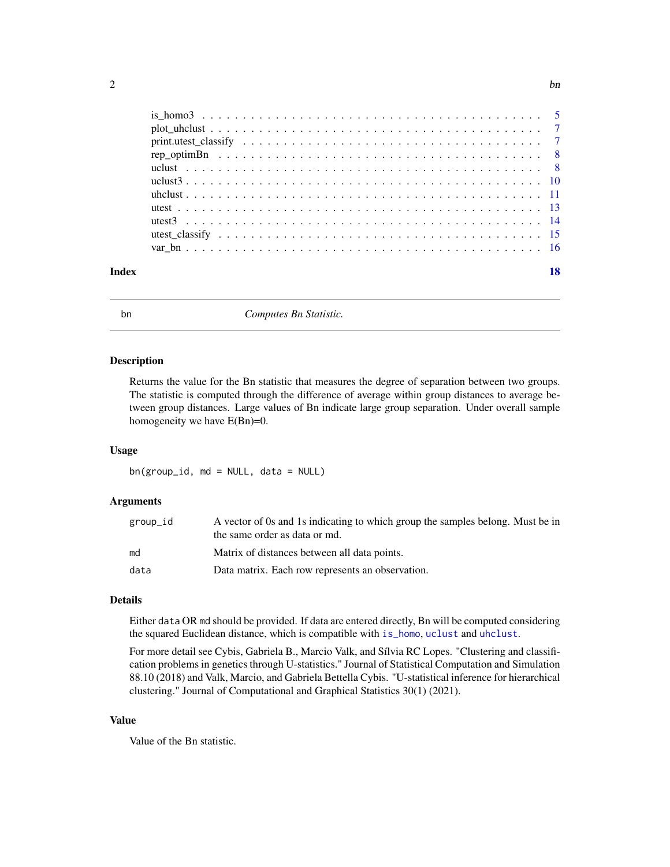<span id="page-1-0"></span>

|  |  |  |  |  |  |  |  |  |  |  |  |  |  |  |  |  |  |  | 18 |
|--|--|--|--|--|--|--|--|--|--|--|--|--|--|--|--|--|--|--|----|
|  |  |  |  |  |  |  |  |  |  |  |  |  |  |  |  |  |  |  |    |

<span id="page-1-1"></span>bn *Computes Bn Statistic.*

# Description

Returns the value for the Bn statistic that measures the degree of separation between two groups. The statistic is computed through the difference of average within group distances to average between group distances. Large values of Bn indicate large group separation. Under overall sample homogeneity we have  $E(Bn)=0$ .

# Usage

bn(group\_id, md = NULL, data = NULL)

#### Arguments

| group_id | A vector of 0s and 1s indicating to which group the samples belong. Must be in<br>the same order as data or md. |
|----------|-----------------------------------------------------------------------------------------------------------------|
| md       | Matrix of distances between all data points.                                                                    |
| data     | Data matrix. Each row represents an observation.                                                                |

# Details

Either data OR md should be provided. If data are entered directly, Bn will be computed considering the squared Euclidean distance, which is compatible with [is\\_homo](#page-3-1), [uclust](#page-7-1) and [uhclust](#page-10-1).

For more detail see Cybis, Gabriela B., Marcio Valk, and Sílvia RC Lopes. "Clustering and classification problems in genetics through U-statistics." Journal of Statistical Computation and Simulation 88.10 (2018) and Valk, Marcio, and Gabriela Bettella Cybis. "U-statistical inference for hierarchical clustering." Journal of Computational and Graphical Statistics 30(1) (2021).

# Value

Value of the Bn statistic.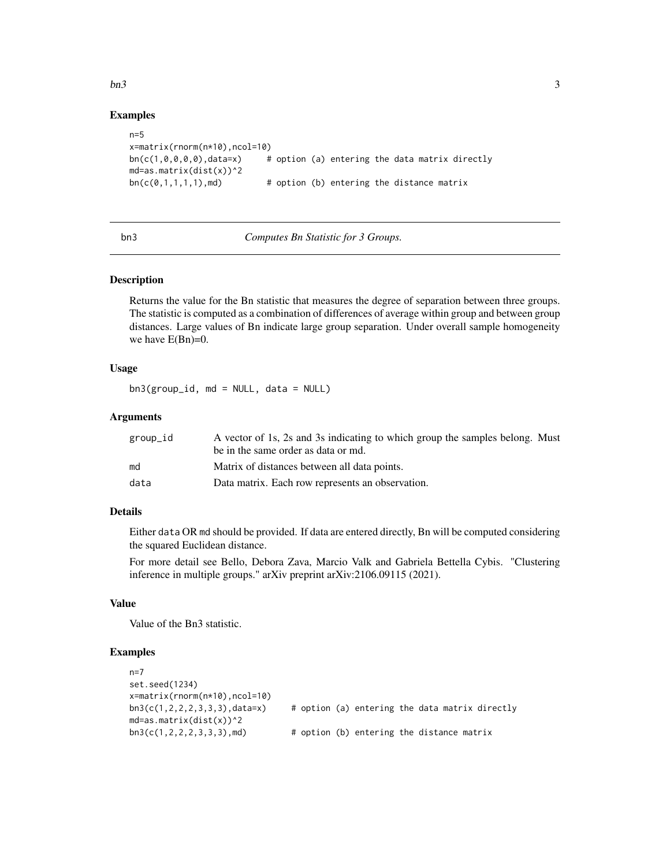#### <span id="page-2-0"></span> $\mathbf{b}$ n3 3

# Examples

```
n=5x=matrix(rnorm(n*10),ncol=10)
bn(c(1,0,0,0,0), data=x) # option (a) entering the data matrix directly
md=as.matrix(dist(x))^2
bn(c(0,1,1,1,1),md) # option (b) entering the distance matrix
```
<span id="page-2-1"></span>

bn3 *Computes Bn Statistic for 3 Groups.*

#### Description

Returns the value for the Bn statistic that measures the degree of separation between three groups. The statistic is computed as a combination of differences of average within group and between group distances. Large values of Bn indicate large group separation. Under overall sample homogeneity we have  $E(Bn)=0$ .

# Usage

bn3(group\_id, md = NULL, data = NULL)

# **Arguments**

| group_id | A vector of 1s, 2s and 3s indicating to which group the samples belong. Must<br>be in the same order as data or md. |
|----------|---------------------------------------------------------------------------------------------------------------------|
| md       | Matrix of distances between all data points.                                                                        |
| data     | Data matrix. Each row represents an observation.                                                                    |

# Details

Either data OR md should be provided. If data are entered directly, Bn will be computed considering the squared Euclidean distance.

For more detail see Bello, Debora Zava, Marcio Valk and Gabriela Bettella Cybis. "Clustering inference in multiple groups." arXiv preprint arXiv:2106.09115 (2021).

# Value

Value of the Bn3 statistic.

```
n=7
set.seed(1234)
x=matrix(rnorm(n*10),ncol=10)
bn3(c(1,2,2,2,3,3,3), data=x) # option (a) entering the data matrix directly
md=as.matrix(dist(x))^2
bn3(c(1,2,2,2,3,3,3),md) # option (b) entering the distance matrix
```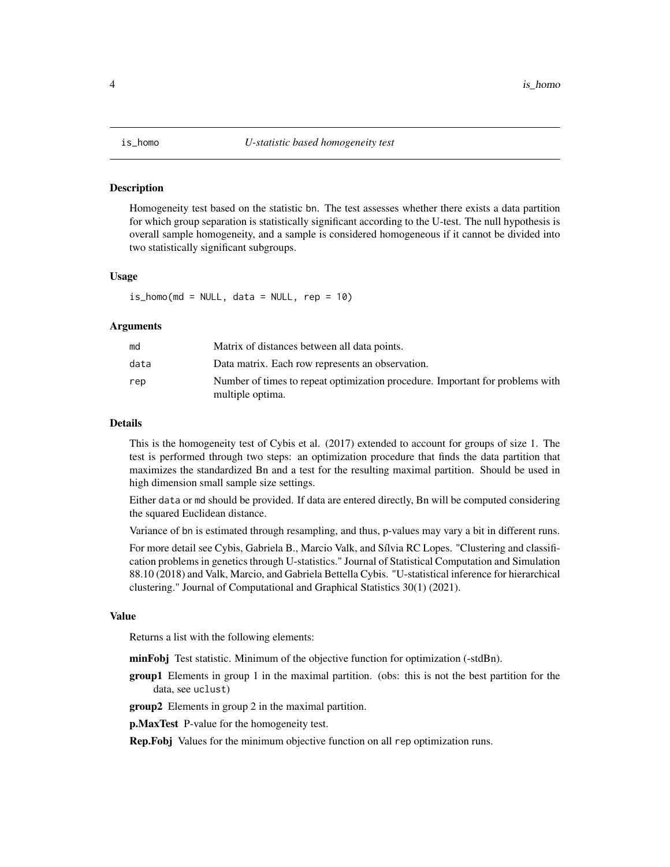<span id="page-3-1"></span><span id="page-3-0"></span>

# **Description**

Homogeneity test based on the statistic bn. The test assesses whether there exists a data partition for which group separation is statistically significant according to the U-test. The null hypothesis is overall sample homogeneity, and a sample is considered homogeneous if it cannot be divided into two statistically significant subgroups.

## Usage

 $is\_homo(md = NULL, data = NULL, rep = 10)$ 

#### Arguments

| md   | Matrix of distances between all data points.                                                      |
|------|---------------------------------------------------------------------------------------------------|
| data | Data matrix. Each row represents an observation.                                                  |
| rep  | Number of times to repeat optimization procedure. Important for problems with<br>multiple optima. |

# Details

This is the homogeneity test of Cybis et al. (2017) extended to account for groups of size 1. The test is performed through two steps: an optimization procedure that finds the data partition that maximizes the standardized Bn and a test for the resulting maximal partition. Should be used in high dimension small sample size settings.

Either data or md should be provided. If data are entered directly, Bn will be computed considering the squared Euclidean distance.

Variance of bn is estimated through resampling, and thus, p-values may vary a bit in different runs.

For more detail see Cybis, Gabriela B., Marcio Valk, and Sílvia RC Lopes. "Clustering and classification problems in genetics through U-statistics." Journal of Statistical Computation and Simulation 88.10 (2018) and Valk, Marcio, and Gabriela Bettella Cybis. "U-statistical inference for hierarchical clustering." Journal of Computational and Graphical Statistics 30(1) (2021).

#### Value

Returns a list with the following elements:

- minFobj Test statistic. Minimum of the objective function for optimization (-stdBn).
- group1 Elements in group 1 in the maximal partition. (obs: this is not the best partition for the data, see uclust)
- group2 Elements in group 2 in the maximal partition.

**p.MaxTest** P-value for the homogeneity test.

Rep.Fobj Values for the minimum objective function on all rep optimization runs.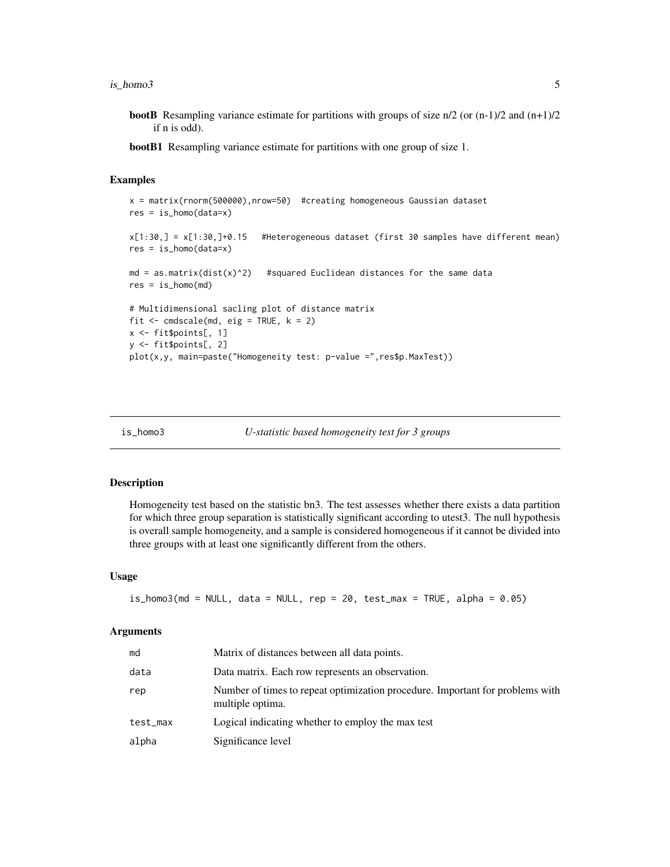<span id="page-4-0"></span> $is\_homo3$  5

- **bootB** Resampling variance estimate for partitions with groups of size  $n/2$  (or  $(n-1)/2$  and  $(n+1)/2$ if n is odd).
- bootB1 Resampling variance estimate for partitions with one group of size 1.

# Examples

```
x = matrix(rnorm(500000),nrow=50) #creating homogeneous Gaussian dataset
res = is_homo(data=x)
x[1:30,] = x[1:30,]+0.15 #Heterogeneous dataset (first 30 samples have different mean)
res = is_homo(data=x)
md = as.matrix(dist(x)^2) #squared Euclidean distances for the same data
res = is_{homo}(md)# Multidimensional sacling plot of distance matrix
fit \leq cmdscale(md, eig = TRUE, k = 2)
x \leq - fit $points[, 1]
y <- fit$points[, 2]
plot(x,y, main=paste("Homogeneity test: p-value =",res$p.MaxTest))
```
<span id="page-4-1"></span>

```
is_homo3 U-statistic based homogeneity test for 3 groups
```
#### **Description**

Homogeneity test based on the statistic bn3. The test assesses whether there exists a data partition for which three group separation is statistically significant according to utest3. The null hypothesis is overall sample homogeneity, and a sample is considered homogeneous if it cannot be divided into three groups with at least one significantly different from the others.

#### Usage

```
is_homo3(md = NULL, data = NULL, rep = 20, test_max = TRUE, alpha = 0.05)
```
# Arguments

| md       | Matrix of distances between all data points.                                                      |
|----------|---------------------------------------------------------------------------------------------------|
| data     | Data matrix. Each row represents an observation.                                                  |
| rep      | Number of times to repeat optimization procedure. Important for problems with<br>multiple optima. |
| test_max | Logical indicating whether to employ the max test                                                 |
| alpha    | Significance level                                                                                |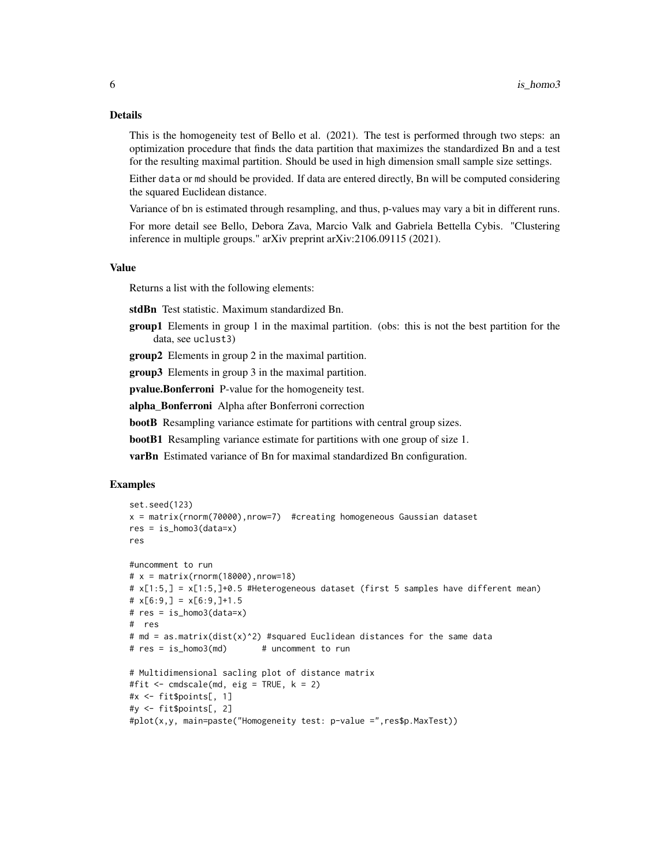#### Details

This is the homogeneity test of Bello et al. (2021). The test is performed through two steps: an optimization procedure that finds the data partition that maximizes the standardized Bn and a test for the resulting maximal partition. Should be used in high dimension small sample size settings.

Either data or md should be provided. If data are entered directly, Bn will be computed considering the squared Euclidean distance.

Variance of bn is estimated through resampling, and thus, p-values may vary a bit in different runs.

For more detail see Bello, Debora Zava, Marcio Valk and Gabriela Bettella Cybis. "Clustering inference in multiple groups." arXiv preprint arXiv:2106.09115 (2021).

### Value

Returns a list with the following elements:

stdBn Test statistic. Maximum standardized Bn.

group1 Elements in group 1 in the maximal partition. (obs: this is not the best partition for the data, see uclust3)

group2 Elements in group 2 in the maximal partition.

group3 Elements in group 3 in the maximal partition.

pvalue.Bonferroni P-value for the homogeneity test.

alpha\_Bonferroni Alpha after Bonferroni correction

bootB Resampling variance estimate for partitions with central group sizes.

bootB1 Resampling variance estimate for partitions with one group of size 1.

varBn Estimated variance of Bn for maximal standardized Bn configuration.

```
set.seed(123)
x = matrix(rnorm(70000),nrow=7) #creating homogeneous Gaussian dataset
res = is_homo3(data=x)
res
#uncomment to run
# x = matrix(rnorm(18000), nrow=18)# x[1:5,] = x[1:5,]+0.5 #Heterogeneous dataset (first 5 samples have different mean)
\# x[6:9,] = x[6:9,]+1.5# res = is_homo3(data=x)
# res
# md = as.matrix(dist(x)^2) #squared Euclidean distances for the same data
# res = is_homo3(md) # uncomment to run
# Multidimensional sacling plot of distance matrix
#fit <- cmdscale(md, eig = TRUE, k = 2)
#x <- fit$points[, 1]
#y <- fit$points[, 2]
#plot(x,y, main=paste("Homogeneity test: p-value =",res$p.MaxTest))
```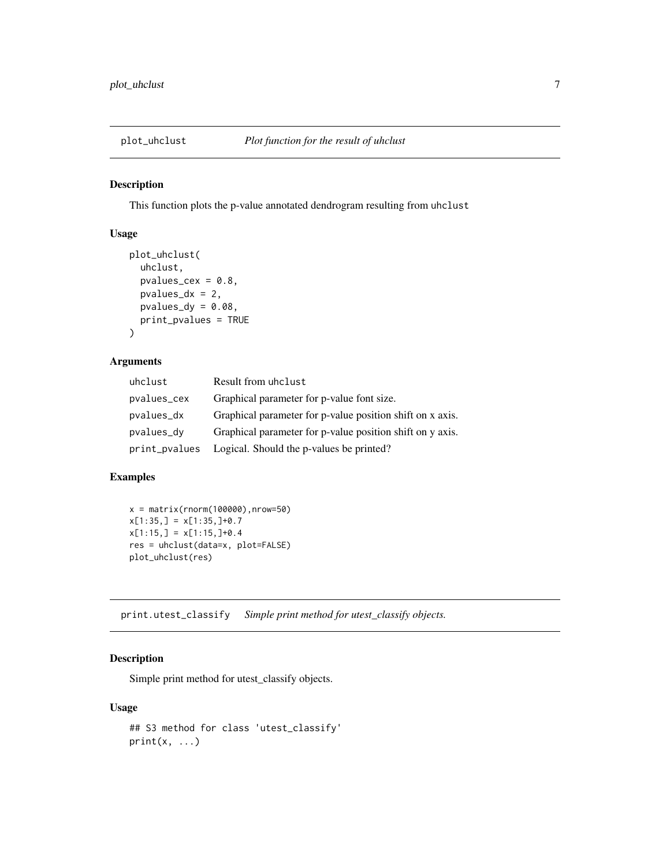<span id="page-6-0"></span>

# Description

This function plots the p-value annotated dendrogram resulting from uhclust

# Usage

```
plot_uhclust(
  uhclust,
  pvalues_cex = 0.8,
  pvalue<sub>dx</sub> = 2,
  pvalues_dy = 0.08,
  print_pvalues = TRUE
)
```
# Arguments

| uhclust       | Result from uhclust                                       |
|---------------|-----------------------------------------------------------|
| pvalues_cex   | Graphical parameter for p-value font size.                |
| pvalues_dx    | Graphical parameter for p-value position shift on x axis. |
| pvalues_dy    | Graphical parameter for p-value position shift on y axis. |
| print_pvalues | Logical. Should the p-values be printed?                  |

# Examples

```
x = matrix(rnorm(100000), nrow=50)x[1:35,] = x[1:35,]+0.7x[1:15,] = x[1:15,]+0.4res = uhclust(data=x, plot=FALSE)
plot_uhclust(res)
```
print.utest\_classify *Simple print method for utest\_classify objects.*

# Description

Simple print method for utest\_classify objects.

# Usage

```
## S3 method for class 'utest_classify'
print(x, \ldots)
```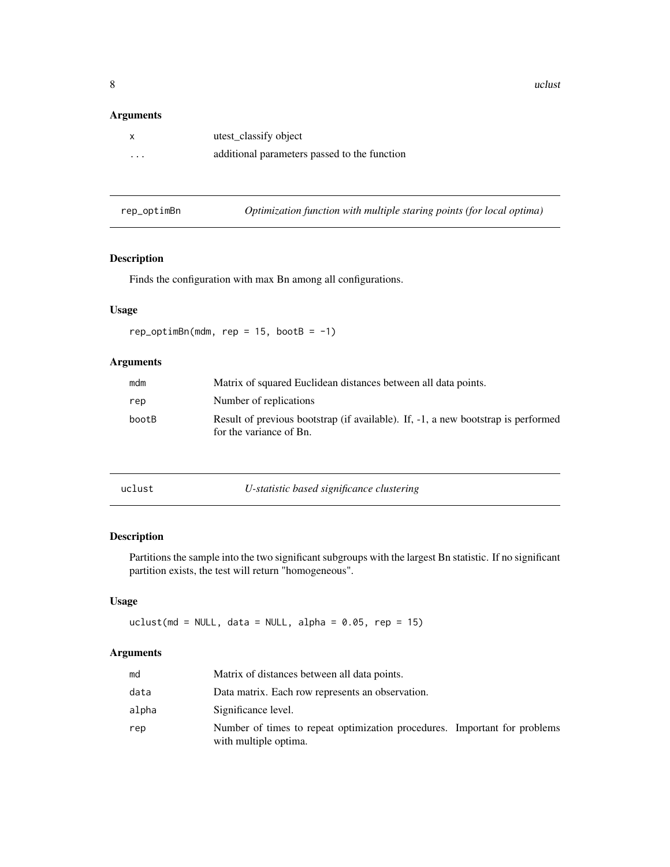# <span id="page-7-0"></span>Arguments

| x        | utest_classify object                        |
|----------|----------------------------------------------|
| $\cdots$ | additional parameters passed to the function |

| Optimization function with multiple staring points (for local optima) | rep_optimBn |  |  |  |  |  |  |
|-----------------------------------------------------------------------|-------------|--|--|--|--|--|--|
|-----------------------------------------------------------------------|-------------|--|--|--|--|--|--|

# Description

Finds the configuration with max Bn among all configurations.

# Usage

 $rep\_optimBn(mdm, rep = 15, bootB = -1)$ 

# Arguments

| mdm   | Matrix of squared Euclidean distances between all data points.                                               |
|-------|--------------------------------------------------------------------------------------------------------------|
| rep   | Number of replications                                                                                       |
| bootB | Result of previous bootstrap (if available). If, -1, a new bootstrap is performed<br>for the variance of Bn. |

<span id="page-7-1"></span>

t **U-statistic based significance clustering** 

# Description

Partitions the sample into the two significant subgroups with the largest Bn statistic. If no significant partition exists, the test will return "homogeneous".

# Usage

uclust(md = NULL, data = NULL, alpha =  $0.05$ , rep = 15)

# Arguments

| md    | Matrix of distances between all data points.                                                       |
|-------|----------------------------------------------------------------------------------------------------|
| data  | Data matrix. Each row represents an observation.                                                   |
| alpha | Significance level.                                                                                |
| rep   | Number of times to repeat optimization procedures. Important for problems<br>with multiple optima. |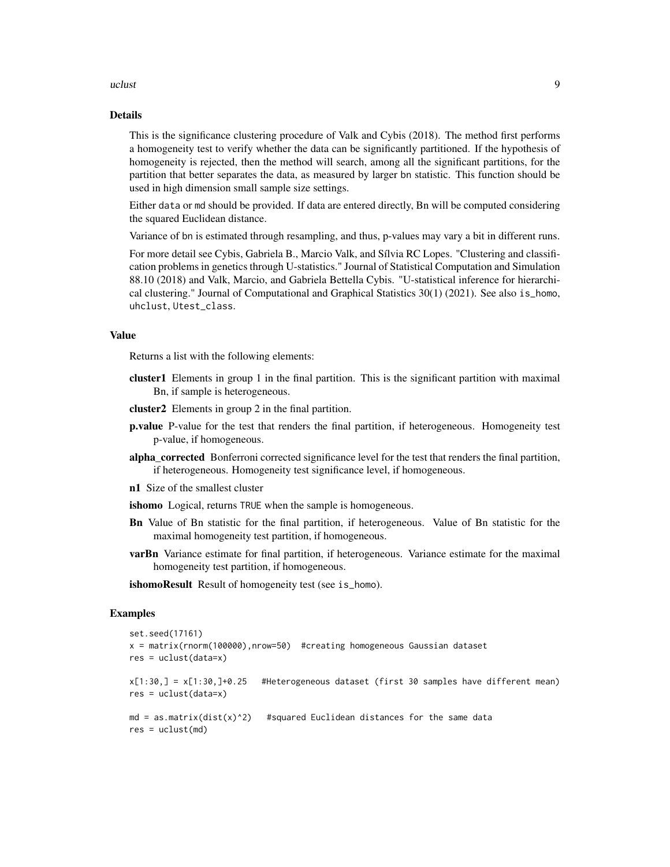#### uclust the contract of the contract of the contract of the contract of the contract of the contract of the contract of the contract of the contract of the contract of the contract of the contract of the contract of the con

# Details

This is the significance clustering procedure of Valk and Cybis (2018). The method first performs a homogeneity test to verify whether the data can be significantly partitioned. If the hypothesis of homogeneity is rejected, then the method will search, among all the significant partitions, for the partition that better separates the data, as measured by larger bn statistic. This function should be used in high dimension small sample size settings.

Either data or md should be provided. If data are entered directly, Bn will be computed considering the squared Euclidean distance.

Variance of bn is estimated through resampling, and thus, p-values may vary a bit in different runs.

For more detail see Cybis, Gabriela B., Marcio Valk, and Sílvia RC Lopes. "Clustering and classification problems in genetics through U-statistics." Journal of Statistical Computation and Simulation 88.10 (2018) and Valk, Marcio, and Gabriela Bettella Cybis. "U-statistical inference for hierarchical clustering." Journal of Computational and Graphical Statistics 30(1) (2021). See also is\_homo, uhclust, Utest\_class.

# Value

Returns a list with the following elements:

- cluster1 Elements in group 1 in the final partition. This is the significant partition with maximal Bn, if sample is heterogeneous.
- cluster2 Elements in group 2 in the final partition.
- p.value P-value for the test that renders the final partition, if heterogeneous. Homogeneity test p-value, if homogeneous.
- alpha\_corrected Bonferroni corrected significance level for the test that renders the final partition, if heterogeneous. Homogeneity test significance level, if homogeneous.
- n1 Size of the smallest cluster

ishomo Logical, returns TRUE when the sample is homogeneous.

- Bn Value of Bn statistic for the final partition, if heterogeneous. Value of Bn statistic for the maximal homogeneity test partition, if homogeneous.
- **varBn** Variance estimate for final partition, if heterogeneous. Variance estimate for the maximal homogeneity test partition, if homogeneous.
- ishomoResult Result of homogeneity test (see is\_homo).

```
set.seed(17161)
x = matrix(rnorm(100000),nrow=50) #creating homogeneous Gaussian dataset
res = uclust(data=x)
x[1:30,] = x[1:30,]+0.25 #Heterogeneous dataset (first 30 samples have different mean)
res = uclust(data=x)
md = as.matrix(dist(x)^2) #squared Euclidean distances for the same data
res = uclust(md)
```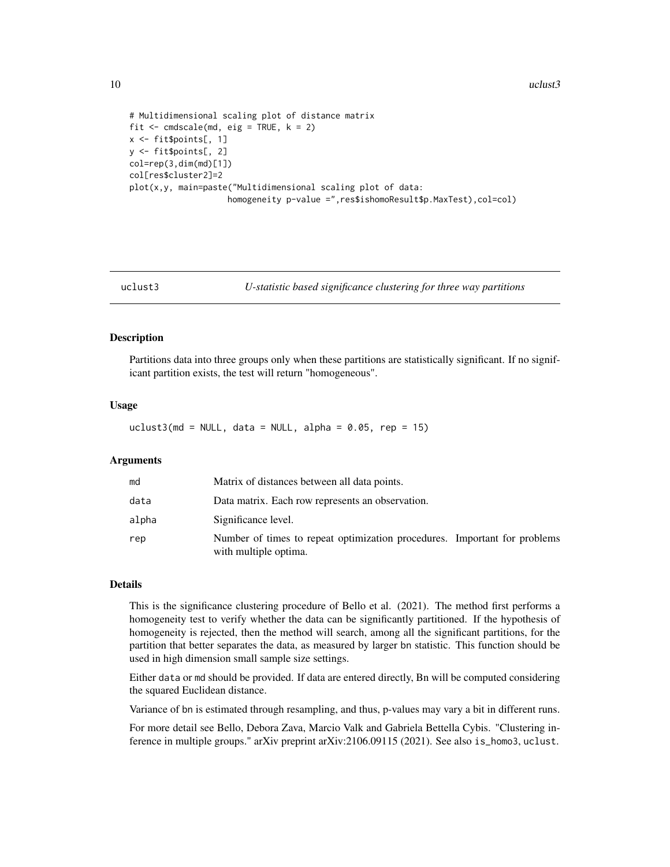<span id="page-9-0"></span>10 uclust3

```
# Multidimensional scaling plot of distance matrix
fit \leq cmdscale(md, eig = TRUE, k = 2)
x <- fit$points[, 1]
y <- fit$points[, 2]
col=rep(3,dim(md)[1])
col[res$cluster2]=2
plot(x,y, main=paste("Multidimensional scaling plot of data:
                    homogeneity p-value =",res$ishomoResult$p.MaxTest),col=col)
```
uclust3 *U-statistic based significance clustering for three way partitions*

# Description

Partitions data into three groups only when these partitions are statistically significant. If no significant partition exists, the test will return "homogeneous".

#### Usage

uclust3(md = NULL, data = NULL, alpha =  $0.05$ , rep = 15)

# Arguments

| md    | Matrix of distances between all data points.                                                       |
|-------|----------------------------------------------------------------------------------------------------|
| data  | Data matrix. Each row represents an observation.                                                   |
| alpha | Significance level.                                                                                |
| rep   | Number of times to repeat optimization procedures. Important for problems<br>with multiple optima. |

# Details

This is the significance clustering procedure of Bello et al. (2021). The method first performs a homogeneity test to verify whether the data can be significantly partitioned. If the hypothesis of homogeneity is rejected, then the method will search, among all the significant partitions, for the partition that better separates the data, as measured by larger bn statistic. This function should be used in high dimension small sample size settings.

Either data or md should be provided. If data are entered directly, Bn will be computed considering the squared Euclidean distance.

Variance of bn is estimated through resampling, and thus, p-values may vary a bit in different runs.

For more detail see Bello, Debora Zava, Marcio Valk and Gabriela Bettella Cybis. "Clustering inference in multiple groups." arXiv preprint arXiv:2106.09115 (2021). See also is\_homo3, uclust.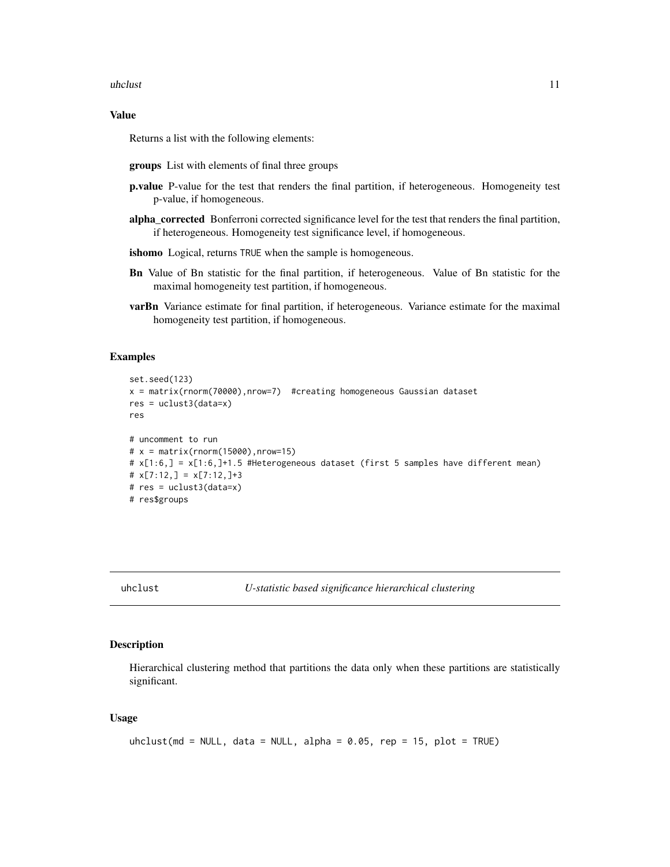#### <span id="page-10-0"></span>uhclust 11

# Value

Returns a list with the following elements:

- groups List with elements of final three groups
- p.value P-value for the test that renders the final partition, if heterogeneous. Homogeneity test p-value, if homogeneous.
- alpha\_corrected Bonferroni corrected significance level for the test that renders the final partition, if heterogeneous. Homogeneity test significance level, if homogeneous.
- ishomo Logical, returns TRUE when the sample is homogeneous.
- Bn Value of Bn statistic for the final partition, if heterogeneous. Value of Bn statistic for the maximal homogeneity test partition, if homogeneous.
- varBn Variance estimate for final partition, if heterogeneous. Variance estimate for the maximal homogeneity test partition, if homogeneous.

## Examples

```
set.seed(123)
x = matrix(rnorm(70000),nrow=7) #creating homogeneous Gaussian dataset
res = uclust3(data=x)
res
# uncomment to run
# x = matrix(rnorm(15000), nrow=15)# x[1:6,] = x[1:6,]+1.5 #Heterogeneous dataset (first 5 samples have different mean)
# x[7:12, ] = x[7:12, ]+3# res = uclust3(data=x)
# res$groups
```
<span id="page-10-1"></span>

# Description

Hierarchical clustering method that partitions the data only when these partitions are statistically significant.

# Usage

```
uhclust(md = NULL, data = NULL, alpha = 0.05, rep = 15, plot = TRUE)
```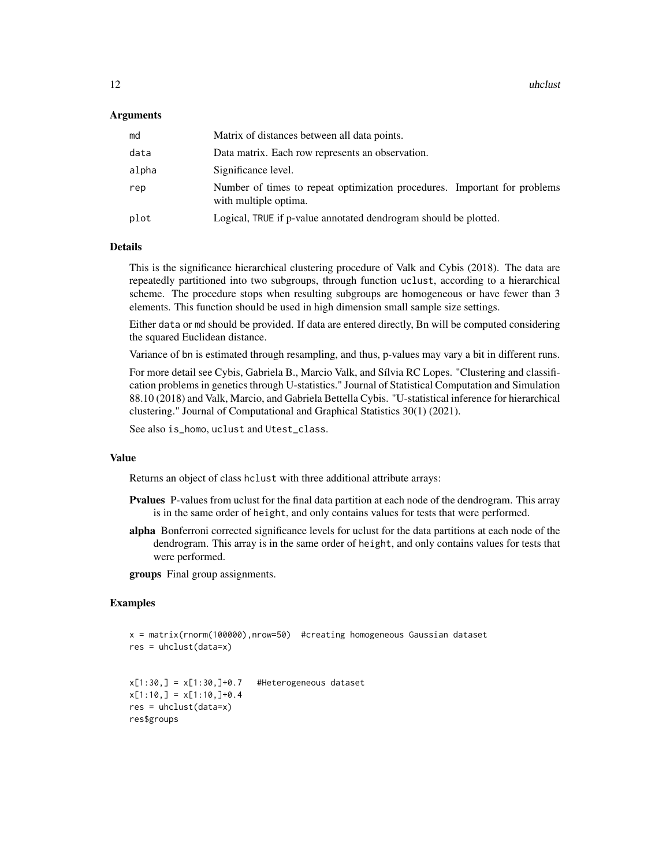# Arguments

| md    | Matrix of distances between all data points.                                                       |
|-------|----------------------------------------------------------------------------------------------------|
| data  | Data matrix. Each row represents an observation.                                                   |
| alpha | Significance level.                                                                                |
| rep   | Number of times to repeat optimization procedures. Important for problems<br>with multiple optima. |
| plot  | Logical, TRUE if p-value annotated dendrogram should be plotted.                                   |

# Details

This is the significance hierarchical clustering procedure of Valk and Cybis (2018). The data are repeatedly partitioned into two subgroups, through function uclust, according to a hierarchical scheme. The procedure stops when resulting subgroups are homogeneous or have fewer than 3 elements. This function should be used in high dimension small sample size settings.

Either data or md should be provided. If data are entered directly, Bn will be computed considering the squared Euclidean distance.

Variance of bn is estimated through resampling, and thus, p-values may vary a bit in different runs.

For more detail see Cybis, Gabriela B., Marcio Valk, and Sílvia RC Lopes. "Clustering and classification problems in genetics through U-statistics." Journal of Statistical Computation and Simulation 88.10 (2018) and Valk, Marcio, and Gabriela Bettella Cybis. "U-statistical inference for hierarchical clustering." Journal of Computational and Graphical Statistics 30(1) (2021).

See also is\_homo, uclust and Utest\_class.

# Value

Returns an object of class hclust with three additional attribute arrays:

- **Pvalues** P-values from uclust for the final data partition at each node of the dendrogram. This array is in the same order of height, and only contains values for tests that were performed.
- alpha Bonferroni corrected significance levels for uclust for the data partitions at each node of the dendrogram. This array is in the same order of height, and only contains values for tests that were performed.

groups Final group assignments.

```
x = matrix(rnorm(100000),nrow=50) #creating homogeneous Gaussian dataset
res = uhclust(data=x)
```

```
x[1:30,] = x[1:30,]+0.7 #Heterogeneous dataset
x[1:10,] = x[1:10,]+0.4res = uhclust(data=x)
res$groups
```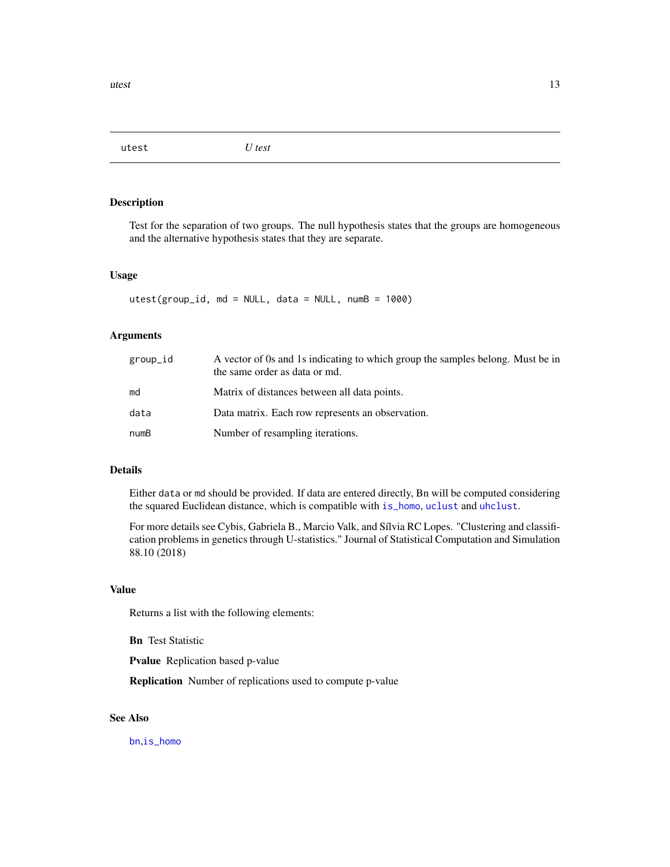<span id="page-12-1"></span><span id="page-12-0"></span>utest *U test*

# Description

Test for the separation of two groups. The null hypothesis states that the groups are homogeneous and the alternative hypothesis states that they are separate.

# Usage

utest(group\_id, md = NULL, data = NULL, numB = 1000)

## Arguments

| group_id | A vector of 0s and 1s indicating to which group the samples belong. Must be in<br>the same order as data or md. |
|----------|-----------------------------------------------------------------------------------------------------------------|
| md       | Matrix of distances between all data points.                                                                    |
| data     | Data matrix. Each row represents an observation.                                                                |
| numB     | Number of resampling iterations.                                                                                |

# Details

Either data or md should be provided. If data are entered directly, Bn will be computed considering the squared Euclidean distance, which is compatible with [is\\_homo](#page-3-1), [uclust](#page-7-1) and [uhclust](#page-10-1).

For more details see Cybis, Gabriela B., Marcio Valk, and Sílvia RC Lopes. "Clustering and classification problems in genetics through U-statistics." Journal of Statistical Computation and Simulation 88.10 (2018)

# Value

Returns a list with the following elements:

Bn Test Statistic

Pvalue Replication based p-value

Replication Number of replications used to compute p-value

# See Also

[bn](#page-1-1),[is\\_homo](#page-3-1)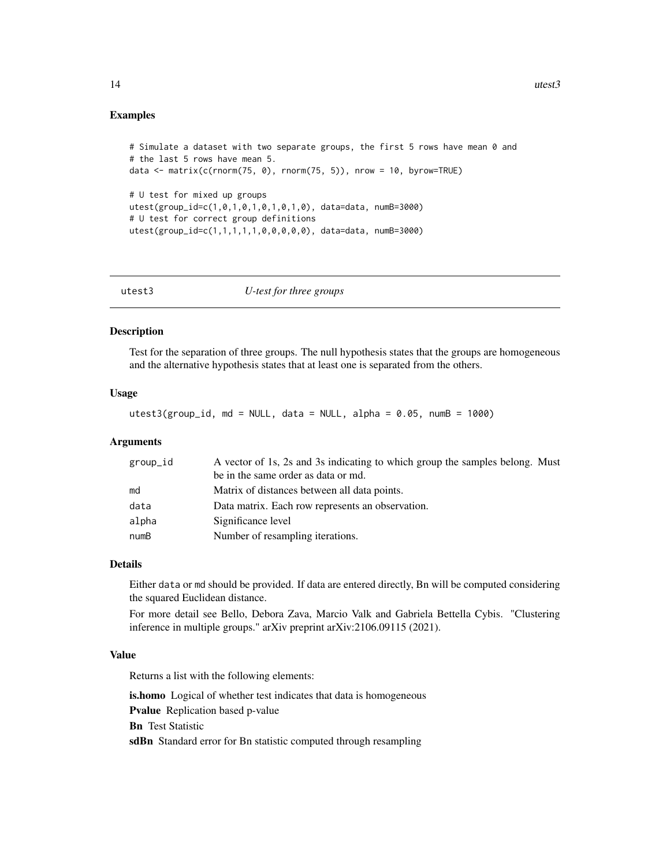# <span id="page-13-0"></span>Examples

```
# Simulate a dataset with two separate groups, the first 5 rows have mean 0 and
# the last 5 rows have mean 5.
data \leq matrix(c(rnorm(75, 0), rnorm(75, 5)), nrow = 10, byrow=TRUE)
# U test for mixed up groups
utest(group_id=c(1,0,1,0,1,0,1,0,1,0), data=data, numB=3000)
# U test for correct group definitions
utest(group_id=c(1,1,1,1,1,0,0,0,0,0), data=data, numB=3000)
```

| utest3 | U-test for three groups |
|--------|-------------------------|
|        |                         |

# Description

Test for the separation of three groups. The null hypothesis states that the groups are homogeneous and the alternative hypothesis states that at least one is separated from the others.

# Usage

 $utest3(group_id, md = NULL, data = NULL, alpha = 0.05, numB = 1000)$ 

#### Arguments

| group_id | A vector of 1s, 2s and 3s indicating to which group the samples belong. Must |
|----------|------------------------------------------------------------------------------|
|          | be in the same order as data or md.                                          |
| md       | Matrix of distances between all data points.                                 |
| data     | Data matrix. Each row represents an observation.                             |
| alpha    | Significance level                                                           |
| numB     | Number of resampling iterations.                                             |

# Details

Either data or md should be provided. If data are entered directly, Bn will be computed considering the squared Euclidean distance.

For more detail see Bello, Debora Zava, Marcio Valk and Gabriela Bettella Cybis. "Clustering inference in multiple groups." arXiv preprint arXiv:2106.09115 (2021).

# Value

Returns a list with the following elements:

is.homo Logical of whether test indicates that data is homogeneous Pvalue Replication based p-value Bn Test Statistic sdBn Standard error for Bn statistic computed through resampling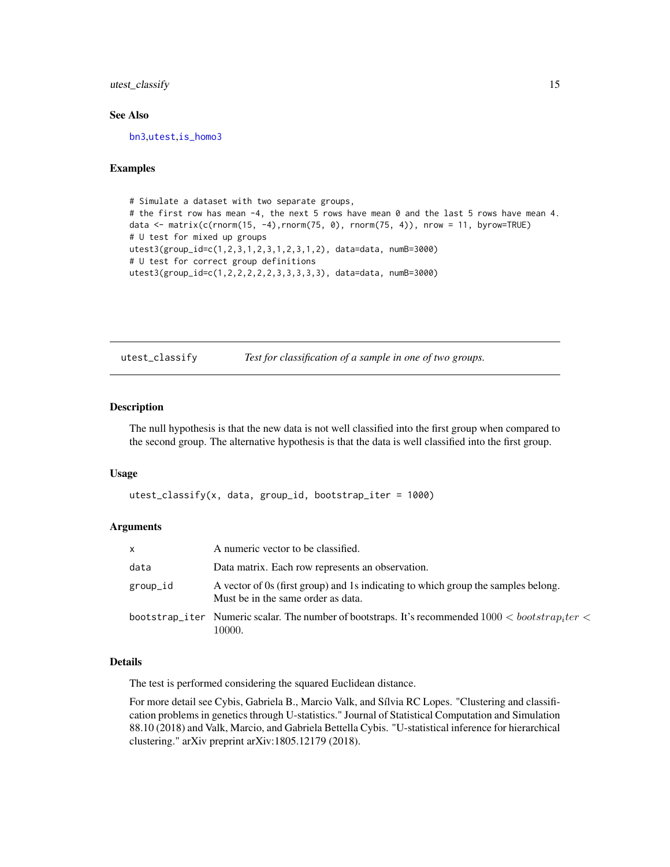# <span id="page-14-0"></span>utest\_classify 15

# See Also

[bn3](#page-2-1),[utest](#page-12-1),[is\\_homo3](#page-4-1)

# Examples

```
# Simulate a dataset with two separate groups,
# the first row has mean -4, the next 5 rows have mean 0 and the last 5 rows have mean 4.
data <- matrix(c(rnorm(15, -4),rnorm(75, 0), rnorm(75, 4)), nrow = 11, byrow=TRUE)
# U test for mixed up groups
utest3(group_id=c(1,2,3,1,2,3,1,2,3,1,2), data=data, numB=3000)
# U test for correct group definitions
utest3(group_id=c(1,2,2,2,2,2,3,3,3,3,3), data=data, numB=3000)
```
utest\_classify *Test for classification of a sample in one of two groups.*

#### Description

The null hypothesis is that the new data is not well classified into the first group when compared to the second group. The alternative hypothesis is that the data is well classified into the first group.

#### Usage

utest\_classify(x, data, group\_id, bootstrap\_iter = 1000)

## Arguments

| X        | A numeric vector to be classified.                                                                                      |
|----------|-------------------------------------------------------------------------------------------------------------------------|
| data     | Data matrix. Each row represents an observation.                                                                        |
| group_id | A vector of 0s (first group) and 1s indicating to which group the samples belong.<br>Must be in the same order as data. |
|          | bootstrap_iter Numeric scalar. The number of bootstraps. It's recommended $1000 < bootstrap_1ter <$<br>10000.           |

# Details

The test is performed considering the squared Euclidean distance.

For more detail see Cybis, Gabriela B., Marcio Valk, and Sílvia RC Lopes. "Clustering and classification problems in genetics through U-statistics." Journal of Statistical Computation and Simulation 88.10 (2018) and Valk, Marcio, and Gabriela Bettella Cybis. "U-statistical inference for hierarchical clustering." arXiv preprint arXiv:1805.12179 (2018).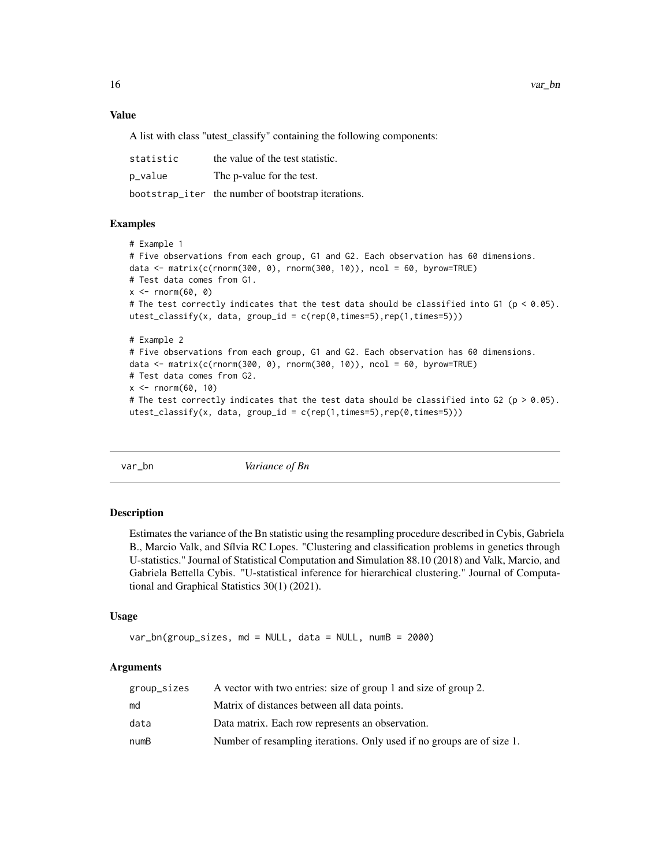# Value

A list with class "utest\_classify" containing the following components:

| statistic | the value of the test statistic.                   |
|-----------|----------------------------------------------------|
| p_value   | The p-value for the test.                          |
|           | bootstrap_iter the number of bootstrap iterations. |

#### Examples

```
# Example 1
# Five observations from each group, G1 and G2. Each observation has 60 dimensions.
data <- matrix(c(rnorm(300, 0), rnorm(300, 10)), ncol = 60, byrow=TRUE)
# Test data comes from G1.
x \le - rnorm(60, 0)
# The test correctly indicates that the test data should be classified into G1 (p < 0.05).
utest_classify(x, data, group_id = c(rep(\theta, times=5), rep(1, times=5)))# Example 2
# Five observations from each group, G1 and G2. Each observation has 60 dimensions.
data <- matrix(c(rnorm(300, 0), rnorm(300, 10)), ncol = 60, byrow=TRUE)
# Test data comes from G2.
x < - rnorm(60, 10)
# The test correctly indicates that the test data should be classified into G2 (p > 0.05).
```
 $utest_classify(x, data, group_id = c(rep(1, times=5), rep(0, times=5)))$ 

var\_bn *Variance of Bn*

## Description

Estimates the variance of the Bn statistic using the resampling procedure described in Cybis, Gabriela B., Marcio Valk, and Sílvia RC Lopes. "Clustering and classification problems in genetics through U-statistics." Journal of Statistical Computation and Simulation 88.10 (2018) and Valk, Marcio, and Gabriela Bettella Cybis. "U-statistical inference for hierarchical clustering." Journal of Computational and Graphical Statistics 30(1) (2021).

#### Usage

```
var_bn(group_sizes, md = NULL, data = NULL, numB = 2000)
```
# Arguments

| group_sizes | A vector with two entries: size of group 1 and size of group 2.        |
|-------------|------------------------------------------------------------------------|
| md          | Matrix of distances between all data points.                           |
| data        | Data matrix. Each row represents an observation.                       |
| numB        | Number of resampling iterations. Only used if no groups are of size 1. |

<span id="page-15-0"></span>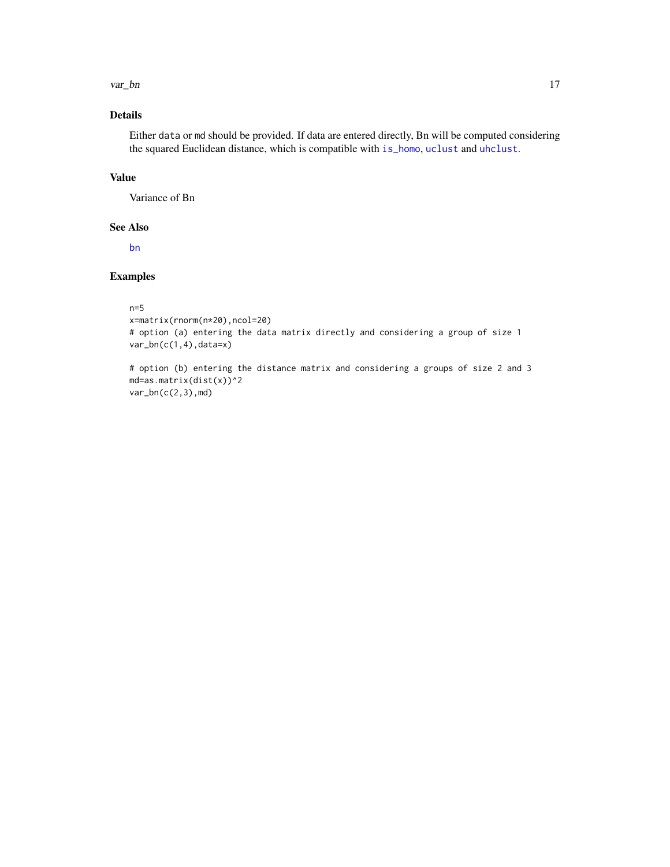#### <span id="page-16-0"></span>var\_bn 17

# Details

Either data or md should be provided. If data are entered directly, Bn will be computed considering the squared Euclidean distance, which is compatible with [is\\_homo](#page-3-1), [uclust](#page-7-1) and [uhclust](#page-10-1).

# Value

Variance of Bn

# See Also

[bn](#page-1-1)

# Examples

#### n=5

```
x=matrix(rnorm(n*20),ncol=20)
# option (a) entering the data matrix directly and considering a group of size 1
var_bn(c(1,4),data=x)
```
# option (b) entering the distance matrix and considering a groups of size 2 and 3 md=as.matrix(dist(x))^2 var\_bn(c(2,3),md)